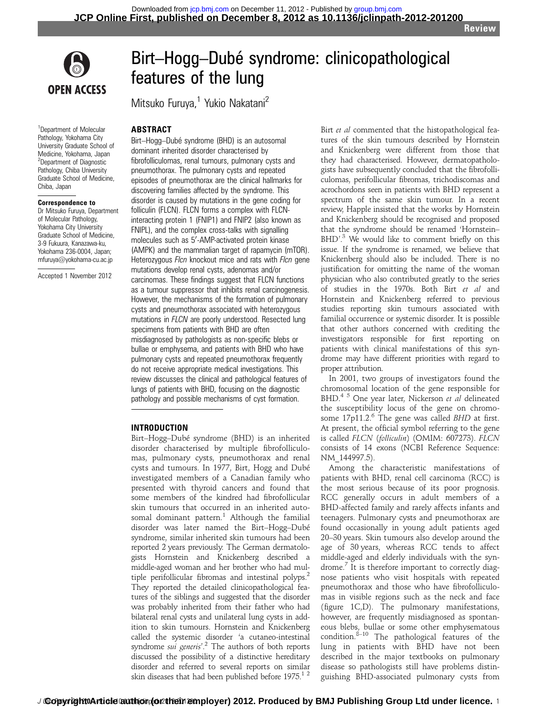**Review** 



# Birt–Hogg–Dubé syndrome: clinicopathological features of the lung

Mitsuko Furuya,<sup>1</sup> Yukio Nakatani<sup>2</sup>

# ABSTRACT

<sup>1</sup>Department of Molecular Pathology, Yokohama City University Graduate School of Medicine, Yokohama, Japan <sup>2</sup>Department of Diagnostic Pathology, Chiba University Graduate School of Medicine, Chiba, Japan

#### Correspondence to

Dr Mitsuko Furuya, Department of Molecular Pathology, Yokohama City University Graduate School of Medicine, 3-9 Fukuura, Kanazawa-ku, Yokohama 236-0004, Japan; mfuruya@yokohama-cu.ac.jp

Accepted 1 November 2012

Birt–Hogg–Dubé syndrome (BHD) is an autosomal dominant inherited disorder characterised by fibrofolliculomas, renal tumours, pulmonary cysts and pneumothorax. The pulmonary cysts and repeated episodes of pneumothorax are the clinical hallmarks for discovering families affected by the syndrome. This disorder is caused by mutations in the gene coding for folliculin (FLCN). FLCN forms a complex with FLCNinteracting protein 1 (FNIP1) and FNIP2 (also known as FNIPL), and the complex cross-talks with signalling molecules such as 5'-AMP-activated protein kinase (AMPK) and the mammalian target of rapamycin (mTOR). Heterozygous Flcn knockout mice and rats with Flcn gene mutations develop renal cysts, adenomas and/or carcinomas. These findings suggest that FLCN functions as a tumour suppressor that inhibits renal carcinogenesis. However, the mechanisms of the formation of pulmonary cysts and pneumothorax associated with heterozygous mutations in FLCN are poorly understood. Resected lung specimens from patients with BHD are often misdiagnosed by pathologists as non-specific blebs or bullae or emphysema, and patients with BHD who have pulmonary cysts and repeated pneumothorax frequently do not receive appropriate medical investigations. This review discusses the clinical and pathological features of lungs of patients with BHD, focusing on the diagnostic pathology and possible mechanisms of cyst formation.

#### INTRODUCTION

Birt–Hogg–Dubé syndrome (BHD) is an inherited disorder characterised by multiple fibrofolliculomas, pulmonary cysts, pneumothorax and renal cysts and tumours. In 1977, Birt, Hogg and Dubé investigated members of a Canadian family who presented with thyroid cancers and found that some members of the kindred had fibrofollicular skin tumours that occurred in an inherited autosomal dominant pattern. $1$  Although the familial disorder was later named the Birt–Hogg–Dubé syndrome, similar inherited skin tumours had been reported 2 years previously. The German dermatologists Hornstein and Knickenberg described a middle-aged woman and her brother who had multiple perifollicular fibromas and intestinal polyps.<sup>2</sup> They reported the detailed clinicopathological features of the siblings and suggested that the disorder was probably inherited from their father who had bilateral renal cysts and unilateral lung cysts in addition to skin tumours. Hornstein and Knickenberg called the systemic disorder 'a cutaneo-intestinal syndrome *sui generis*<sup>2</sup>. The authors of both reports discussed the possibility of a distinctive hereditary discussed the possibility of a distinctive hereditary disorder and referred to several reports on similar skin diseases that had been published before  $1975$ .<sup>12</sup>

Birt et al commented that the histopathological features of the skin tumours described by Hornstein and Knickenberg were different from those that they had characterised. However, dermatopathologists have subsequently concluded that the fibrofolliculomas, perifollicular fibromas, trichodiscomas and acrochordons seen in patients with BHD represent a spectrum of the same skin tumour. In a recent review, Happle insisted that the works by Hornstein and Knickenberg should be recognised and proposed that the syndrome should be renamed 'Hornstein– BHD'.<sup>3</sup> We would like to comment briefly on this issue. If the syndrome is renamed, we believe that Knickenberg should also be included. There is no justification for omitting the name of the woman physician who also contributed greatly to the series of studies in the 1970s. Both Birt et al and Hornstein and Knickenberg referred to previous studies reporting skin tumours associated with familial occurrence or systemic disorder. It is possible that other authors concerned with crediting the investigators responsible for first reporting on patients with clinical manifestations of this syndrome may have different priorities with regard to proper attribution.

In 2001, two groups of investigators found the chromosomal location of the gene responsible for BHD.<sup>4 5</sup> One year later, Nickerson et al delineated the susceptibility locus of the gene on chromosome  $17p11.2$ <sup>6</sup> The gene was called *BHD* at first. At present, the official symbol referring to the gene is called FLCN (folliculin) (OMIM: 607273). FLCN consists of 14 exons (NCBI Reference Sequence: NM\_144997.5).

Among the characteristic manifestations of patients with BHD, renal cell carcinoma (RCC) is the most serious because of its poor prognosis. RCC generally occurs in adult members of a BHD-affected family and rarely affects infants and teenagers. Pulmonary cysts and pneumothorax are found occasionally in young adult patients aged 20–30 years. Skin tumours also develop around the age of 30 years, whereas RCC tends to affect middle-aged and elderly individuals with the syndrome.<sup>7</sup> It is therefore important to correctly diagnose patients who visit hospitals with repeated pneumothorax and those who have fibrofolliculomas in visible regions such as the neck and face (figure 1C,D). The pulmonary manifestations, however, are frequently misdiagnosed as spontaneous blebs, bullae or some other emphysematous condition.<sup>8-10</sup> The pathological features of the lung in patients with BHD have not been described in the major textbooks on pulmonary disease so pathologists still have problems distinguishing BHD-associated pulmonary cysts from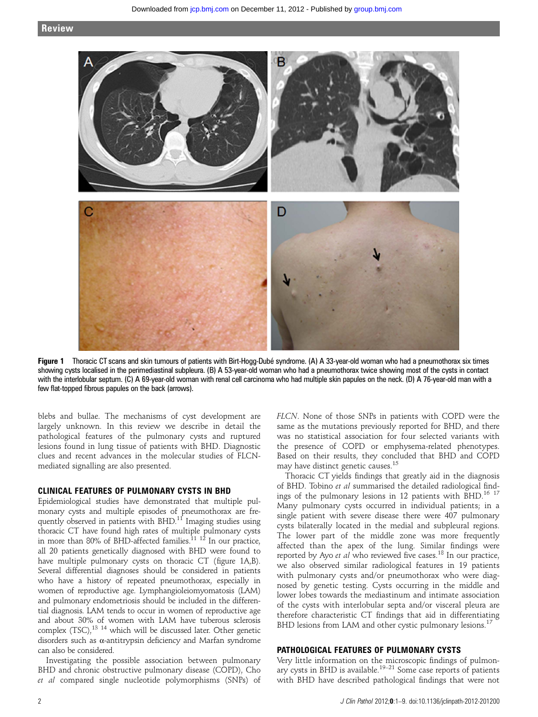

Figure 1 Thoracic CT scans and skin tumours of patients with Birt-Hogg-Dubé syndrome. (A) A 33-year-old woman who had a pneumothorax six times showing cysts localised in the perimediastinal subpleura. (B) A 53-year-old woman who had a pneumothorax twice showing most of the cysts in contact with the interlobular septum. (C) A 69-year-old woman with renal cell carcinoma who had multiple skin papules on the neck. (D) A 76-year-old man with a few flat-topped fibrous papules on the back (arrows).

blebs and bullae. The mechanisms of cyst development are largely unknown. In this review we describe in detail the pathological features of the pulmonary cysts and ruptured lesions found in lung tissue of patients with BHD. Diagnostic clues and recent advances in the molecular studies of FLCNmediated signalling are also presented.

#### CLINICAL FEATURES OF PULMONARY CYSTS IN BHD

Epidemiological studies have demonstrated that multiple pulmonary cysts and multiple episodes of pneumothorax are frequently observed in patients with BHD.<sup>11</sup> Imaging studies using thoracic CT have found high rates of multiple pulmonary cysts in more than 80% of BHD-affected families. $^{11}$   $^{12}$  In our practice, all 20 patients genetically diagnosed with BHD were found to have multiple pulmonary cysts on thoracic CT (figure 1A,B). Several differential diagnoses should be considered in patients who have a history of repeated pneumothorax, especially in women of reproductive age. Lymphangioleiomyomatosis (LAM) and pulmonary endometriosis should be included in the differential diagnosis. LAM tends to occur in women of reproductive age and about 30% of women with LAM have tuberous sclerosis complex (TSC),<sup>13 14</sup> which will be discussed later. Other genetic disorders such as α-antitrypsin deficiency and Marfan syndrome can also be considered.

Investigating the possible association between pulmonary BHD and chronic obstructive pulmonary disease (COPD), Cho et al compared single nucleotide polymorphisms (SNPs) of FLCN. None of those SNPs in patients with COPD were the same as the mutations previously reported for BHD, and there was no statistical association for four selected variants with the presence of COPD or emphysema-related phenotypes. Based on their results, they concluded that BHD and COPD may have distinct genetic causes.<sup>15</sup>

Thoracic CT yields findings that greatly aid in the diagnosis of BHD. Tobino et al summarised the detailed radiological findings of the pulmonary lesions in 12 patients with  $BHD$ <sup>16 17</sup> Many pulmonary cysts occurred in individual patients; in a single patient with severe disease there were 407 pulmonary cysts bilaterally located in the medial and subpleural regions. The lower part of the middle zone was more frequently affected than the apex of the lung. Similar findings were reported by Ayo et al who reviewed five cases.<sup>18</sup> In our practice, we also observed similar radiological features in 19 patients with pulmonary cysts and/or pneumothorax who were diagnosed by genetic testing. Cysts occurring in the middle and lower lobes towards the mediastinum and intimate association of the cysts with interlobular septa and/or visceral pleura are therefore characteristic CT findings that aid in differentiating BHD lesions from LAM and other cystic pulmonary lesions.<sup>17</sup>

## PATHOLOGICAL FEATURES OF PULMONARY CYSTS

Very little information on the microscopic findings of pulmonary cysts in BHD is available.<sup>19–21</sup> Some case reports of patients with BHD have described pathological findings that were not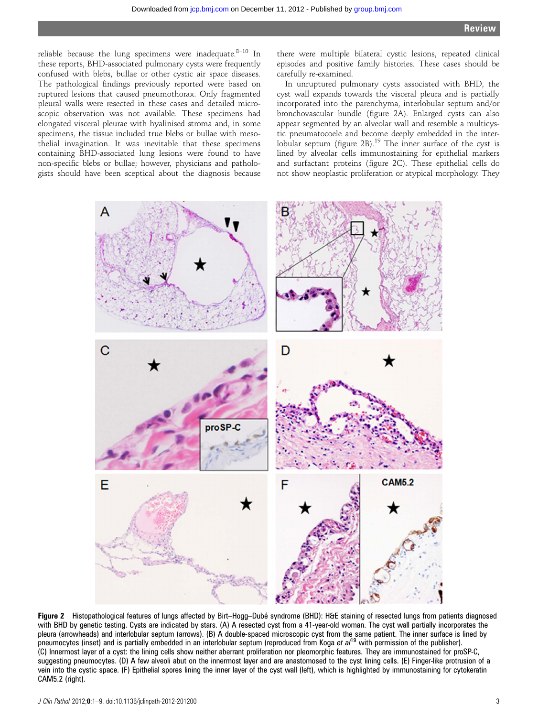reliable because the lung specimens were inadequate. $8-10$  In these reports, BHD-associated pulmonary cysts were frequently confused with blebs, bullae or other cystic air space diseases. The pathological findings previously reported were based on ruptured lesions that caused pneumothorax. Only fragmented pleural walls were resected in these cases and detailed microscopic observation was not available. These specimens had elongated visceral pleurae with hyalinised stroma and, in some specimens, the tissue included true blebs or bullae with mesothelial invagination. It was inevitable that these specimens containing BHD-associated lung lesions were found to have non-specific blebs or bullae; however, physicians and pathologists should have been sceptical about the diagnosis because

there were multiple bilateral cystic lesions, repeated clinical episodes and positive family histories. These cases should be carefully re-examined.

In unruptured pulmonary cysts associated with BHD, the cyst wall expands towards the visceral pleura and is partially incorporated into the parenchyma, interlobular septum and/or bronchovascular bundle (figure 2A). Enlarged cysts can also appear segmented by an alveolar wall and resemble a multicystic pneumatocoele and become deeply embedded in the interlobular septum (figure 2B).<sup>19</sup> The inner surface of the cyst is lined by alveolar cells immunostaining for epithelial markers and surfactant proteins (figure 2C). These epithelial cells do not show neoplastic proliferation or atypical morphology. They



Figure 2 Histopathological features of lungs affected by Birt-Hogg-Dubé syndrome (BHD): H&E staining of resected lungs from patients diagnosed with BHD by genetic testing. Cysts are indicated by stars. (A) A resected cyst from a 41-year-old woman. The cyst wall partially incorporates the pleura (arrowheads) and interlobular septum (arrows). (B) A double-spaced microscopic cyst from the same patient. The inner surface is lined by pneumocytes (inset) and is partially embedded in an interlobular septum (reproduced from Koga et  $al^{19}$  with permission of the publisher). (C) Innermost layer of a cyst: the lining cells show neither aberrant proliferation nor pleomorphic features. They are immunostained for proSP-C, suggesting pneumocytes. (D) A few alveoli abut on the innermost layer and are anastomosed to the cyst lining cells. (E) Finger-like protrusion of a vein into the cystic space. (F) Epithelial spores lining the inner layer of the cyst wall (left), which is highlighted by immunostaining for cytokeratin CAM5.2 (right).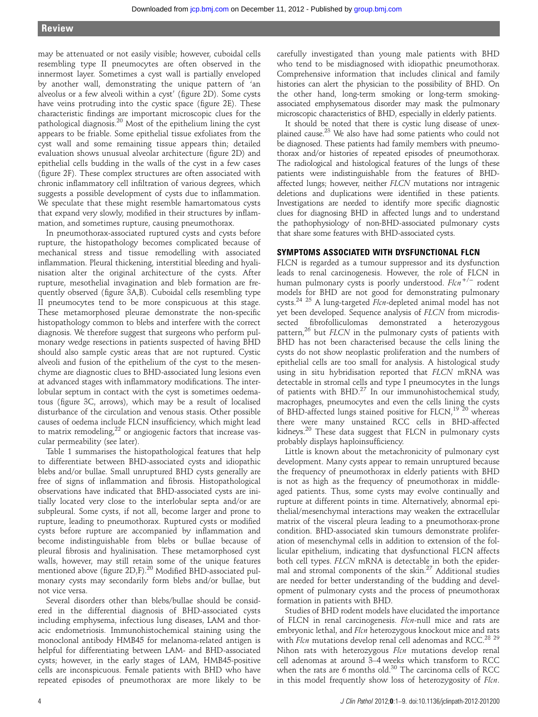may be attenuated or not easily visible; however, cuboidal cells resembling type II pneumocytes are often observed in the innermost layer. Sometimes a cyst wall is partially enveloped by another wall, demonstrating the unique pattern of 'an alveolus or a few alveoli within a cyst' (figure 2D). Some cysts have veins protruding into the cystic space (figure 2E). These characteristic findings are important microscopic clues for the pathological diagnosis.<sup>20</sup> Most of the epithelium lining the cyst appears to be friable. Some epithelial tissue exfoliates from the cyst wall and some remaining tissue appears thin; detailed evaluation shows unusual alveolar architecture (figure 2D) and epithelial cells budding in the walls of the cyst in a few cases (figure 2F). These complex structures are often associated with chronic inflammatory cell infiltration of various degrees, which suggests a possible development of cysts due to inflammation. We speculate that these might resemble hamartomatous cysts that expand very slowly, modified in their structures by inflammation, and sometimes rupture, causing pneumothorax.

In pneumothorax-associated ruptured cysts and cysts before rupture, the histopathology becomes complicated because of mechanical stress and tissue remodelling with associated inflammation. Pleural thickening, interstitial bleeding and hyalinisation alter the original architecture of the cysts. After rupture, mesothelial invagination and bleb formation are frequently observed (figure 3A,B). Cuboidal cells resembling type II pneumocytes tend to be more conspicuous at this stage. These metamorphosed pleurae demonstrate the non-specific histopathology common to blebs and interfere with the correct diagnosis. We therefore suggest that surgeons who perform pulmonary wedge resections in patients suspected of having BHD should also sample cystic areas that are not ruptured. Cystic alveoli and fusion of the epithelium of the cyst to the mesenchyme are diagnostic clues to BHD-associated lung lesions even at advanced stages with inflammatory modifications. The interlobular septum in contact with the cyst is sometimes oedematous (figure 3C, arrows), which may be a result of localised disturbance of the circulation and venous stasis. Other possible causes of oedema include FLCN insufficiency, which might lead to matrix remodeling, $22$  or angiogenic factors that increase vascular permeability (see later).

Table 1 summarises the histopathological features that help to differentiate between BHD-associated cysts and idiopathic blebs and/or bullae. Small unruptured BHD cysts generally are free of signs of inflammation and fibrosis. Histopathological observations have indicated that BHD-associated cysts are initially located very close to the interlobular septa and/or are subpleural. Some cysts, if not all, become larger and prone to rupture, leading to pneumothorax. Ruptured cysts or modified cysts before rupture are accompanied by inflammation and become indistinguishable from blebs or bullae because of pleural fibrosis and hyalinisation. These metamorphosed cyst walls, however, may still retain some of the unique features mentioned above (figure 2D,F).<sup>20</sup> Modified BHD-associated pulmonary cysts may secondarily form blebs and/or bullae, but not vice versa.

Several disorders other than blebs/bullae should be considered in the differential diagnosis of BHD-associated cysts including emphysema, infectious lung diseases, LAM and thoracic endometriosis. Immunohistochemical staining using the monoclonal antibody HMB45 for melanoma-related antigen is helpful for differentiating between LAM- and BHD-associated cysts; however, in the early stages of LAM, HMB45-positive cells are inconspicuous. Female patients with BHD who have repeated episodes of pneumothorax are more likely to be

carefully investigated than young male patients with BHD who tend to be misdiagnosed with idiopathic pneumothorax. Comprehensive information that includes clinical and family histories can alert the physician to the possibility of BHD. On the other hand, long-term smoking or long-term smokingassociated emphysematous disorder may mask the pulmonary microscopic characteristics of BHD, especially in elderly patients.

It should be noted that there is cystic lung disease of unexplained cause.23 We also have had some patients who could not be diagnosed. These patients had family members with pneumothorax and/or histories of repeated episodes of pneumothorax. The radiological and histological features of the lungs of these patients were indistinguishable from the features of BHDaffected lungs; however, neither FLCN mutations nor intragenic deletions and duplications were identified in these patients. Investigations are needed to identify more specific diagnostic clues for diagnosing BHD in affected lungs and to understand the pathophysiology of non-BHD-associated pulmonary cysts that share some features with BHD-associated cysts.

#### SYMPTOMS ASSOCIATED WITH DYSFUNCTIONAL FLCN

FLCN is regarded as a tumour suppressor and its dysfunction leads to renal carcinogenesis. However, the role of FLCN in human pulmonary cysts is poorly understood.  $Flcn^{+/-}$  rodent models for BHD are not good for demonstrating pulmonary cysts.<sup>24 25</sup> A lung-targeted Flcn-depleted animal model has not yet been developed. Sequence analysis of FLCN from microdissected fibrofolliculomas demonstrated a heterozygous pattern, $^{26}$  but FLCN in the pulmonary cysts of patients with BHD has not been characterised because the cells lining the cysts do not show neoplastic proliferation and the numbers of epithelial cells are too small for analysis. A histological study using in situ hybridisation reported that FLCN mRNA was detectable in stromal cells and type I pneumocytes in the lungs of patients with  $BHD^{27}$  In our immunohistochemical study, macrophages, pneumocytes and even the cells lining the cysts of BHD-affected lungs stained positive for FLCN,<sup>19 20</sup> whereas there were many unstained RCC cells in BHD-affected kidneys.20 These data suggest that FLCN in pulmonary cysts probably displays haploinsufficiency.

Little is known about the metachronicity of pulmonary cyst development. Many cysts appear to remain unruptured because the frequency of pneumothorax in elderly patients with BHD is not as high as the frequency of pneumothorax in middleaged patients. Thus, some cysts may evolve continually and rupture at different points in time. Alternatively, abnormal epithelial/mesenchymal interactions may weaken the extracellular matrix of the visceral pleura leading to a pneumothorax-prone condition. BHD-associated skin tumours demonstrate proliferation of mesenchymal cells in addition to extension of the follicular epithelium, indicating that dysfunctional FLCN affects both cell types. FLCN mRNA is detectable in both the epidermal and stromal components of the skin.<sup>27</sup> Additional studies are needed for better understanding of the budding and development of pulmonary cysts and the process of pneumothorax formation in patients with BHD.

Studies of BHD rodent models have elucidated the importance of FLCN in renal carcinogenesis. Flcn-null mice and rats are embryonic lethal, and Flcn heterozygous knockout mice and rats with Flcn mutations develop renal cell adenomas and RCC.<sup>28</sup> <sup>29</sup> Nihon rats with heterozygous Flcn mutations develop renal cell adenomas at around 3–4 weeks which transform to RCC when the rats are 6 months old. $30$  The carcinoma cells of RCC in this model frequently show loss of heterozygosity of Flcn.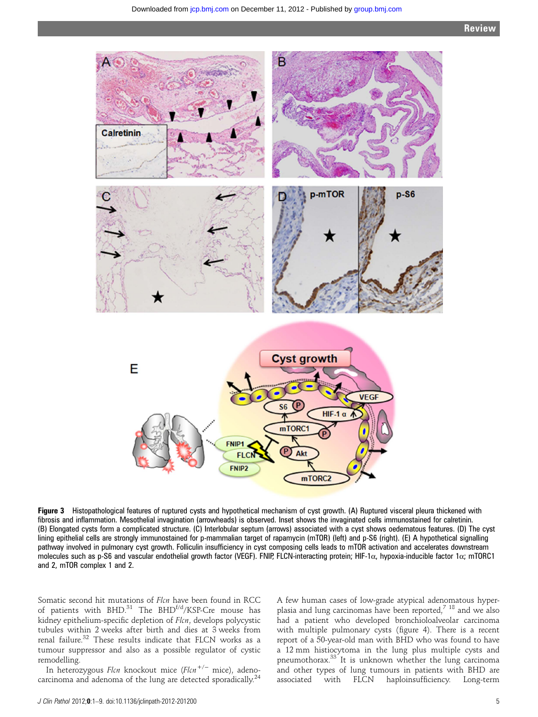

Figure 3 Histopathological features of ruptured cysts and hypothetical mechanism of cyst growth. (A) Ruptured visceral pleura thickened with fibrosis and inflammation. Mesothelial invagination (arrowheads) is observed. Inset shows the invaginated cells immunostained for calretinin. (B) Elongated cysts form a complicated structure. (C) Interlobular septum (arrows) associated with a cyst shows oedematous features. (D) The cyst lining epithelial cells are strongly immunostained for p-mammalian target of rapamycin (mTOR) (left) and p-S6 (right). (E) A hypothetical signalling pathway involved in pulmonary cyst growth. Folliculin insufficiency in cyst composing cells leads to mTOR activation and accelerates downstream molecules such as p-S6 and vascular endothelial growth factor (VEGF). FNIP, FLCN-interacting protein; HIF-1α, hypoxia-inducible factor 1α; mTORC1 and 2, mTOR complex 1 and 2.

Somatic second hit mutations of Flcn have been found in RCC of patients with BHD. $^{31}$  The BHD<sup>f/d</sup>/KSP-Cre mouse has kidney epithelium-specific depletion of Flcn, develops polycystic tubules within 2 weeks after birth and dies at 3 weeks from renal failure.<sup>32</sup> These results indicate that FLCN works as a tumour suppressor and also as a possible regulator of cystic remodelling.

In heterozygous Flcn knockout mice (Flcn<sup>+/-</sup> mice), adenocarcinoma and adenoma of the lung are detected sporadically.<sup>24</sup>

A few human cases of low-grade atypical adenomatous hyperplasia and lung carcinomas have been reported,<sup>7</sup> <sup>18</sup> and we also had a patient who developed bronchioloalveolar carcinoma with multiple pulmonary cysts (figure 4). There is a recent report of a 50-year-old man with BHD who was found to have a 12 mm histiocytoma in the lung plus multiple cysts and pneumothorax.33 It is unknown whether the lung carcinoma and other types of lung tumours in patients with BHD are associated with FLCN haploinsufficiency. Long-term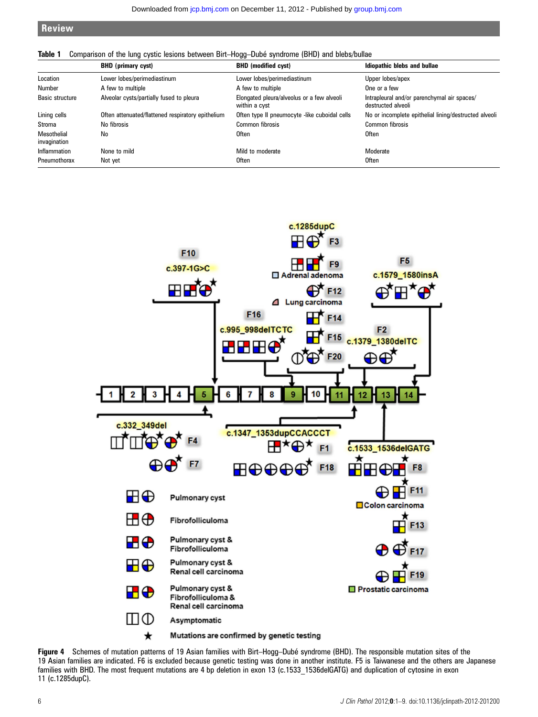# **Review**

#### Table 1 Comparison of the lung cystic lesions between Birt–Hogg–Dubé syndrome (BHD) and blebs/bullae

|                                    | <b>BHD</b> (primary cyst)                         | <b>BHD</b> (modified cyst)                                  | Idiopathic blebs and bullae                                       |
|------------------------------------|---------------------------------------------------|-------------------------------------------------------------|-------------------------------------------------------------------|
| Location                           | Lower lobes/perimediastinum                       | Lower lobes/perimediastinum                                 | Upper lobes/apex                                                  |
| Number                             | A few to multiple                                 | A few to multiple                                           | One or a few                                                      |
| Basic structure                    | Alveolar cysts/partially fused to pleura          | Elongated pleura/alveolus or a few alveoli<br>within a cyst | Intrapleural and/or parenchymal air spaces/<br>destructed alveoli |
| Lining cells                       | Often attenuated/flattened respiratory epithelium | Often type II pneumocyte -like cuboidal cells               | No or incomplete epithelial lining/destructed alveoli             |
| Stroma                             | No fibrosis                                       | Common fibrosis                                             | Common fibrosis                                                   |
| <b>Mesothelial</b><br>invagination | No                                                | Often                                                       | <b>Often</b>                                                      |
| Inflammation                       | None to mild                                      | Mild to moderate                                            | Moderate                                                          |
| Pneumothorax                       | Not yet                                           | Often                                                       | <b>Often</b>                                                      |



Figure 4 Schemes of mutation patterns of 19 Asian families with Birt–Hogg–Dubé syndrome (BHD). The responsible mutation sites of the 19 Asian families are indicated. F6 is excluded because genetic testing was done in another institute. F5 is Taiwanese and the others are Japanese families with BHD. The most frequent mutations are 4 bp deletion in exon 13 (c.1533\_1536delGATG) and duplication of cytosine in exon 11 (c.1285dupC).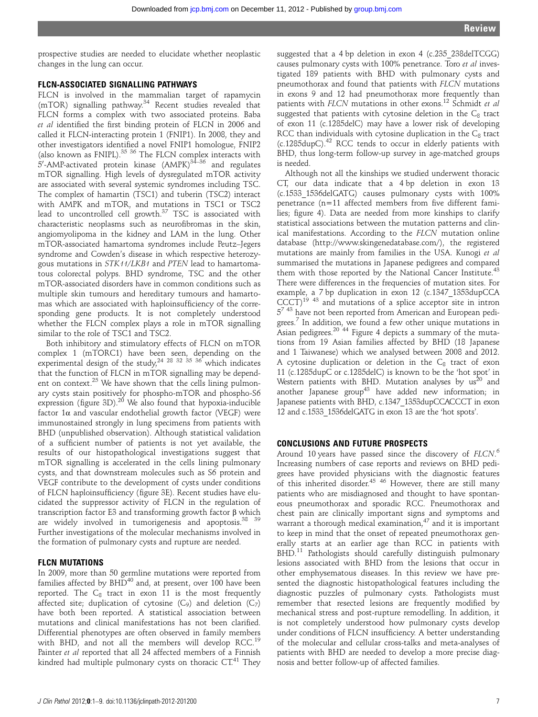prospective studies are needed to elucidate whether neoplastic changes in the lung can occur.

#### FLCN-ASSOCIATED SIGNALLING PATHWAYS

FLCN is involved in the mammalian target of rapamycin (mTOR) signalling pathway.34 Recent studies revealed that FLCN forms a complex with two associated proteins. Baba et al identified the first binding protein of FLCN in 2006 and called it FLCN-interacting protein 1 (FNIP1). In 2008, they and other investigators identified a novel FNIP1 homologue, FNIP2 (also known as FNIPL). $35 \frac{36}{1}$  The FLCN complex interacts with 5'-AMP-activated protein kinase (AMPK)<sup>34–36</sup> and regulates mTOR signalling. High levels of dysregulated mTOR activity are associated with several systemic syndromes including TSC. The complex of hamartin (TSC1) and tuberin (TSC2) interact with AMPK and mTOR, and mutations in TSC1 or TSC2 lead to uncontrolled cell growth. $37$  TSC is associated with characteristic neoplasms such as neurofibromas in the skin, angiomyolipoma in the kidney and LAM in the lung. Other mTOR-associated hamartoma syndromes include Peutz–Jegers syndrome and Cowden's disease in which respective heterozygous mutations in STK11/LKB1 and PTEN lead to hamartomatous colorectal polyps. BHD syndrome, TSC and the other mTOR-associated disorders have in common conditions such as multiple skin tumours and hereditary tumours and hamartomas which are associated with haploinsufficiency of the corresponding gene products. It is not completely understood whether the FLCN complex plays a role in mTOR signalling similar to the role of TSC1 and TSC2.

Both inhibitory and stimulatory effects of FLCN on mTOR complex 1 (mTORC1) have been seen, depending on the experimental design of the study, $^{24}$   $^{28}$   $^{32}$   $^{35}$   $^{36}$  which indicates that the function of FLCN in mTOR signalling may be dependent on context. $25$  We have shown that the cells lining pulmonary cysts stain positively for phospho-mTOR and phospho-S6 expression (figure 3D). $^{20}$  We also found that hypoxia-inducible factor  $1\alpha$  and vascular endothelial growth factor (VEGF) were immunostained strongly in lung specimens from patients with BHD (unpublished observation). Although statistical validation of a sufficient number of patients is not yet available, the results of our histopathological investigations suggest that mTOR signalling is accelerated in the cells lining pulmonary cysts, and that downstream molecules such as S6 protein and VEGF contribute to the development of cysts under conditions of FLCN haploinsufficiency (figure 3E). Recent studies have elucidated the suppressor activity of FLCN in the regulation of transcription factor E3 and transforming growth factor β which are widely involved in tumorigenesis and apoptosis.<sup>38</sup> <sup>39</sup> Further investigations of the molecular mechanisms involved in the formation of pulmonary cysts and rupture are needed.

#### FLCN MUTATIONS

In 2009, more than 50 germline mutations were reported from families affected by  $BHD^{40}$  and, at present, over 100 have been reported. The  $C_8$  tract in exon 11 is the most frequently affected site; duplication of cytosine  $(C_9)$  and deletion  $(C_7)$ have both been reported. A statistical association between mutations and clinical manifestations has not been clarified. Differential phenotypes are often observed in family members with BHD, and not all the members will develop RCC.<sup>19</sup> Painter et al reported that all 24 affected members of a Finnish kindred had multiple pulmonary cysts on thoracic CT.<sup>41</sup> They

suggested that a 4 bp deletion in exon 4 (c.235\_238delTCGG) causes pulmonary cysts with 100% penetrance. Toro et al investigated 189 patients with BHD with pulmonary cysts and pneumothorax and found that patients with FLCN mutations in exons 9 and 12 had pneumothorax more frequently than patients with FLCN mutations in other exons.<sup>12</sup> Schmidt et al suggested that patients with cytosine deletion in the  $C_8$  tract of exon 11 (c.1285delC) may have a lower risk of developing RCC than individuals with cytosine duplication in the  $C_8$  tract (c.1285dupC).42 RCC tends to occur in elderly patients with BHD, thus long-term follow-up survey in age-matched groups is needed.

Although not all the kinships we studied underwent thoracic CT, our data indicate that a 4 bp deletion in exon 13 (c.1533\_1536delGATG) causes pulmonary cysts with 100% penetrance (n=11 affected members from five different families; figure 4). Data are needed from more kinships to clarify statistical associations between the mutation patterns and clinical manifestations. According to the FLCN mutation online database ([http://www.skingenedatabase.com/\)](http://www.skingenedatabase.com/), the registered mutations are mainly from families in the USA. Kunogi et al summarised the mutations in Japanese pedigrees and compared them with those reported by the National Cancer Institute.<sup>43</sup> There were differences in the frequencies of mutation sites. For example, a 7 bp duplication in exon 12 (c.1347\_1353dupCCA  $CCCT)^{19}$  <sup>43</sup> and mutations of a splice acceptor site in intron  $5^{7}$ <sup>43</sup> have not been reported from American and European pedigrees.<sup>7</sup> In addition, we found a few other unique mutations in Asian pedigrees.<sup>20</sup> <sup>44</sup> Figure 4 depicts a summary of the mutations from 19 Asian families affected by BHD (18 Japanese and 1 Taiwanese) which we analysed between 2008 and 2012. A cytosine duplication or deletion in the  $C_8$  tract of exon 11 (c.1285dupC or c.1285delC) is known to be the 'hot spot' in Western patients with BHD. Mutation analyses by  $us^{20}$  and another Japanese group<sup>43</sup> have added new information; in Japanese patients with BHD, c.1347\_1353dupCCACCCT in exon 12 and c.1533\_1536delGATG in exon 13 are the 'hot spots'.

#### CONCLUSIONS AND FUTURE PROSPECTS

Around 10 years have passed since the discovery of FLCN.<sup>6</sup><br>Increasing numbers of case reports and reviews on BHD pedi-Increasing numbers of case reports and reviews on BHD pedigrees have provided physicians with the diagnostic features of this inherited disorder.<sup>45 46</sup> However, there are still many patients who are misdiagnosed and thought to have spontaneous pneumothorax and sporadic RCC. Pneumothorax and chest pain are clinically important signs and symptoms and warrant a thorough medical examination, $47$  and it is important to keep in mind that the onset of repeated pneumothorax generally starts at an earlier age than RCC in patients with BHD.<sup>11</sup> Pathologists should carefully distinguish pulmonary lesions associated with BHD from the lesions that occur in other emphysematous diseases. In this review we have presented the diagnostic histopathological features including the diagnostic puzzles of pulmonary cysts. Pathologists must remember that resected lesions are frequently modified by mechanical stress and post-rupture remodelling. In addition, it is not completely understood how pulmonary cysts develop under conditions of FLCN insufficiency. A better understanding of the molecular and cellular cross-talks and meta-analyses of patients with BHD are needed to develop a more precise diagnosis and better follow-up of affected families.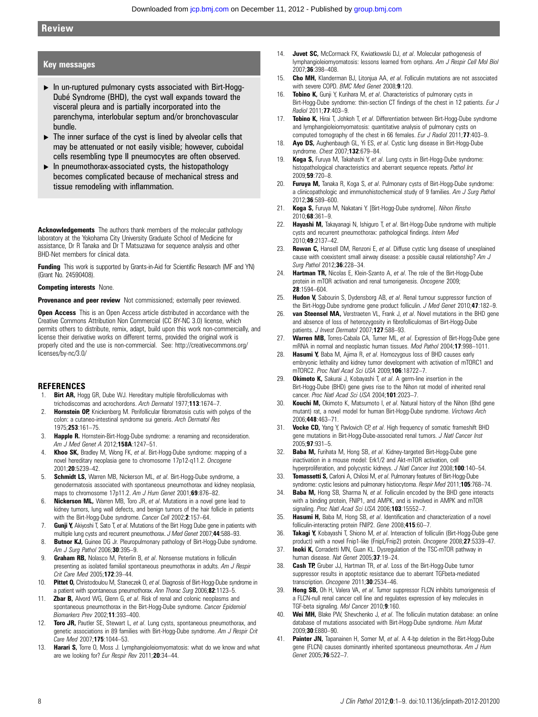## Key messages

- ▸ In un-ruptured pulmonary cysts associated with Birt-Hogg-Dubé Syndrome (BHD), the cyst wall expands toward the visceral pleura and is partially incorporated into the parenchyma, interlobular septum and/or bronchovascular bundle.
- $\triangleright$  The inner surface of the cyst is lined by alveolar cells that may be attenuated or not easily visible; however, cuboidal cells resembling type II pneumocytes are often observed.
- $\blacktriangleright$  In pneumothorax-associated cysts, the histopathology becomes complicated because of mechanical stress and tissue remodeling with inflammation.

Acknowledgements The authors thank members of the molecular pathology laboratory at the Yokohama City University Graduate School of Medicine for assistance, Dr R Tanaka and Dr T Matsuzawa for sequence analysis and other BHD-Net members for clinical data.

**Funding** This work is supported by Grants-in-Aid for Scientific Research (MF and YN) (Grant No. 24590408).

#### Competing interests None.

Provenance and peer review Not commissioned; externally peer reviewed.

**Open Access** This is an Open Access article distributed in accordance with the Creative Commons Attribution Non Commercial (CC BY-NC 3.0) license, which permits others to distribute, remix, adapt, build upon this work non-commercially, and license their derivative works on different terms, provided the original work is properly cited and the use is non-commercial. See: http://creativecommons.org/ licenses/by-nc/3.0/

#### **REFERENCES**

- 1. **Birt AR,** Hogg GR, Dube WJ. Hereditary multiple fibrofolliculomas with trichodiscomas and acrochordons. Arch Dermatol 1977;113:1674-7.
- 2. **Hornstein OP,** Knickenberg M. Perifollicular fibromatosis cutis with polyps of the colon: a cutaneo-intestinal syndrome sui generis. Arch Dermatol Res 1975;253:161–75.
- 3. Happle R. Hornstein-Birt-Hogg-Dube syndrome: a renaming and reconsideration. Am J Med Genet A 2012;158A:1247-51.
- 4. Khoo SK, Bradley M, Wong FK, et al. Birt-Hogg-Dube syndrome: mapping of a novel hereditary neoplasia gene to chromosome 17p12-q11.2. Oncogene 2001;20:5239–42.
- 5. **Schmidt LS,** Warren MB, Nickerson ML, et al. Birt-Hogg-Dube syndrome, a genodermatosis associated with spontaneous pneumothorax and kidney neoplasia, maps to chromosome 17p11.2. Am J Hum Genet 2001;69:876-82.
- 6. **Nickerson ML,** Warren MB, Toro JR, et al. Mutations in a novel gene lead to kidney tumors, lung wall defects, and benign tumors of the hair follicle in patients with the Birt-Hogg-Dube syndrome. Cancer Cell 2002;2:157–64.
- 7. Gunji Y, Akiyoshi T, Sato T, et al. Mutations of the Birt Hogg Dube gene in patients with multiple lung cysts and recurrent pneumothorax. J Med Genet 2007;44:588-93.
- 8. Butnor KJ, Guinee DG Jr. Pleuropulmonary pathology of Birt-Hogg-Dube syndrome. Am J Surg Pathol 2006;30:395-9.
- 9. Graham RB, Nolasco M, Peterlin B, et al. Nonsense mutations in folliculin presenting as isolated familial spontaneous pneumothorax in adults. Am J Respir Crit Care Med 2005;172:39–44.
- 10. Pittet O, Christodoulou M, Staneczek O, et al. Diagnosis of Birt-Hogg-Dube syndrome in a patient with spontaneous pneumothorax. Ann Thorac Surg 2006;82:1123–5.
- 11. **Zbar B,** Alvord WG, Glenn G, et al. Risk of renal and colonic neoplasms and spontaneous pneumothorax in the Birt-Hogg-Dube syndrome. Cancer Epidemiol Biomarkers Prev 2002;11:393–400.
- 12. Toro JR, Pautler SE, Stewart L, et al. Lung cysts, spontaneous pneumothorax, and genetic associations in 89 families with Birt-Hogg-Dube syndrome. Am J Respir Crit Care Med 2007;175:1044-53.
- 13. **Harari S,** Torre O, Moss J. Lymphangioleiomyomatosis: what do we know and what are we looking for? Eur Respir Rev 2011;20:34-44.
- 14. Juvet SC, McCormack FX, Kwiatkowski DJ, et al. Molecular pathogenesis of lymphangioleiomyomatosis: lessons learned from orphans. Am J Respir Cell Mol Biol 2007;36:398–408.
- 15. Cho MH, Klanderman BJ, Litonjua AA, et al. Folliculin mutations are not associated with severe COPD. BMC Med Genet 2008;9:120.
- 16. Tobino K, Gunji Y, Kurihara M, et al. Characteristics of pulmonary cysts in Birt-Hogg-Dube syndrome: thin-section CT findings of the chest in 12 patients. Eur J Radiol 2011;77:403–9.
- 17. **Tobino K,** Hirai T, Johkoh T, et al. Differentiation between Birt-Hogg-Dube syndrome and lymphangioleiomyomatosis: quantitative analysis of pulmonary cysts on computed tomography of the chest in 66 females. Eur J Radiol 2011;77:403-9.
- 18. Ayo DS, Aughenbaugh GL, Yi ES, et al. Cystic lung disease in Birt-Hogg-Dube syndrome. Chest 2007;132:679–84.
- 19. Koga S, Furuya M, Takahashi Y, et al. Lung cysts in Birt-Hogg-Dube syndrome: histopathological characteristics and aberrant sequence repeats. Pathol Int 2009;59:720–8.
- 20. Furuya M, Tanaka R, Koga S, et al. Pulmonary cysts of Birt-Hogg-Dube syndrome: a clinicopathologic and immunohistochemical study of 9 families. Am J Surg Pathol 2012;36:589–600.
- 21. Koga S, Furuya M, Nakatani Y. [Birt-Hogg-Dube syndrome]. Nihon Rinsho 2010;68:361–9.
- 22. Hayashi M, Takayanagi N, Ishiguro T, et al. Birt-Hogg-Dube syndrome with multiple cysts and recurrent pneumothorax: pathological findings. Intern Med 2010;49:2137–42.
- 23. Rowan C, Hansell DM, Renzoni E, et al. Diffuse cystic lung disease of unexplained cause with coexistent small airway disease: a possible causal relationship? Am J Sura Pathol 2012:36:228-34.
- 24. **Hartman TR,** Nicolas E, Klein-Szanto A, et al. The role of the Birt-Hogg-Dube protein in mTOR activation and renal tumorigenesis. Oncogene 2009; 28:1594–604.
- 25. Hudon V, Sabourin S, Dydensborg AB, et al. Renal tumour suppressor function of the Birt-Hogg-Dube syndrome gene product folliculin. J Med Genet 2010;47:182-9.
- 26. van Steensel MA, Verstraeten VL, Frank J, et al. Novel mutations in the BHD gene and absence of loss of heterozygosity in fibrofolliculomas of Birt-Hogg-Dube patients. J Invest Dermatol 2007;127:588-93.
- 27. Warren MB, Torres-Cabala CA, Turner ML, et al. Expression of Birt-Hogg-Dube gene mRNA in normal and neoplastic human tissues. Mod Pathol 2004;17:998–1011.
- 28. Hasumi Y, Baba M, Ajima R, et al. Homozygous loss of BHD causes early embryonic lethality and kidney tumor development with activation of mTORC1 and mTORC2. Proc Natl Acad Sci USA 2009;106:18722–7.
- 29. Okimoto K, Sakurai J, Kobayashi T, et al. A germ-line insertion in the Birt-Hogg-Dube (BHD) gene gives rise to the Nihon rat model of inherited renal cancer. Proc Natl Acad Sci USA 2004;101:2023-7.
- 30. **Kouchi M,** Okimoto K, Matsumoto I, et al. Natural history of the Nihon (Bhd gene mutant) rat, a novel model for human Birt-Hogg-Dube syndrome. Virchows Arch 2006;448:463–71.
- Vocke CD, Yang Y, Pavlovich CP, et al. High frequency of somatic frameshift BHD gene mutations in Birt-Hogg-Dube-associated renal tumors. J Natl Cancer Inst 2005;97:931–5.
- 32. **Baba M,** Furihata M, Hong SB, et al. Kidney-targeted Birt-Hogg-Dube gene inactivation in a mouse model: Erk1/2 and Akt-mTOR activation, cell hyperproliferation, and polycystic kidneys. J Natl Cancer Inst 2008;100:140-54.
- 33. **Tomassetti S,** Carloni A, Chilosi M, et al. Pulmonary features of Birt-Hogg-Dube syndrome: cystic lesions and pulmonary histiocytoma. Respir Med 2011;105:768-74.
- 34. **Baba M,** Hong SB, Sharma N, et al. Folliculin encoded by the BHD gene interacts with a binding protein, FNIP1, and AMPK, and is involved in AMPK and mTOR signaling. Proc Natl Acad Sci USA 2006;103:15552-7.
- 35. Hasumi H, Baba M, Hong SB, et al. Identification and characterization of a novel folliculin-interacting protein FNIP2. Gene 2008;415:60–7.
- 36. Takagi Y, Kobayashi T, Shiono M, et al. Interaction of folliculin (Birt-Hogg-Dube gene product) with a novel Fnip1-like (FnipL/Fnip2) protein. Oncogene 2008;27:5339-47.
- 37. Inoki K, Corradetti MN, Guan KL. Dysregulation of the TSC-mTOR pathway in human disease. Nat Genet 2005;37:19–24.
- 38. Cash TP, Gruber JJ, Hartman TR, et al. Loss of the Birt-Hogg-Dube tumor suppressor results in apoptotic resistance due to aberrant TGFbeta-mediated transcription. Oncogene 2011;30:2534-46.
- 39. Hong SB, Oh H, Valera VA, et al. Tumor suppressor FLCN inhibits tumorigenesis of a FLCN-null renal cancer cell line and regulates expression of key molecules in TGF-beta signaling. Mol Cancer 2010;9:160.
- 40. Wei MH, Blake PW, Shevchenko J, et al. The folliculin mutation database: an online database of mutations associated with Birt-Hogg-Dube syndrome. Hum Mutat 2009;30:E880–90.
- 41. Painter JN, Tapanainen H, Somer M, et al. A 4-bp deletion in the Birt-Hogg-Dube gene (FLCN) causes dominantly inherited spontaneous pneumothorax. Am J Hum Genet 2005;76:522–7.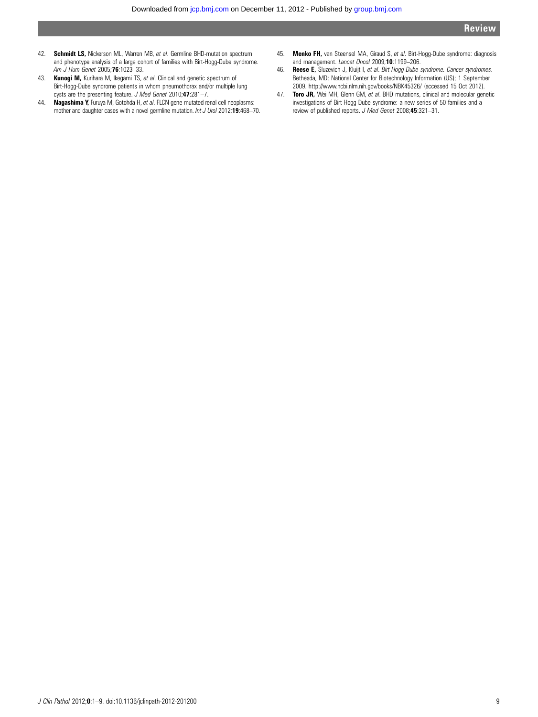- 42. Schmidt LS, Nickerson ML, Warren MB, et al. Germline BHD-mutation spectrum and phenotype analysis of a large cohort of families with Birt-Hogg-Dube syndrome. Am J Hum Genet 2005;76:1023–33.
- 43. Kunogi M, Kurihara M, Ikegami TS, et al. Clinical and genetic spectrum of Birt-Hogg-Dube syndrome patients in whom pneumothorax and/or multiple lung cysts are the presenting feature. J Med Genet 2010;47:281–7.
- 44. Nagashima Y, Furuya M, Gotohda H, et al. FLCN gene-mutated renal cell neoplasms: mother and daughter cases with a novel germline mutation. Int J Urol 2012;19:468-70.
- 45. Menko FH, van Steensel MA, Giraud S, et al. Birt-Hogg-Dube syndrome: diagnosis and management. Lancet Oncol 2009;10:1199–206.
- 46. Reese E, Sluzevich J, Kluijt I, et al. Birt-Hogg-Dube syndrome. Cancer syndromes. Bethesda, MD: National Center for Biotechnology Information (US); 1 September 2009.<http://www.ncbi.nlm.nih.gov/books/NBK45326/> (accessed 15 Oct 2012).
- 47. Toro JR, Wei MH, Glenn GM, et al. BHD mutations, clinical and molecular genetic investigations of Birt-Hogg-Dube syndrome: a new series of 50 families and a review of published reports. J Med Genet 2008;45:321–31.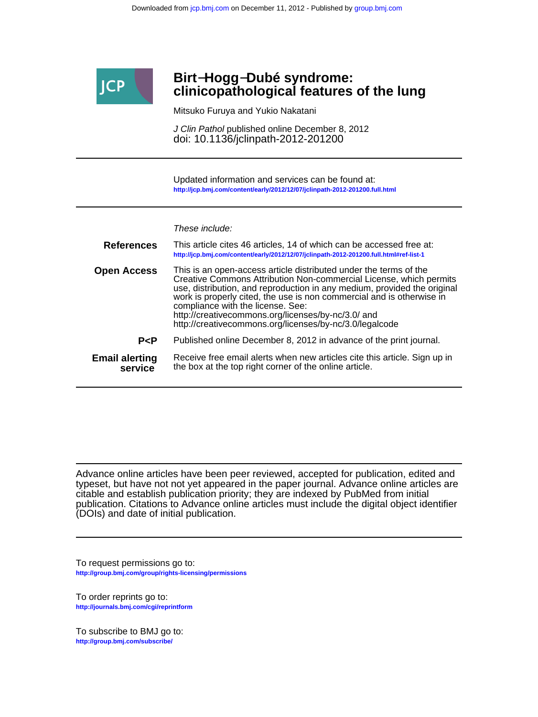

# **clinicopathological features of the lung Birt**−**Hogg**−**Dubé syndrome:**

Mitsuko Furuya and Yukio Nakatani

doi: 10.1136/jclinpath-2012-201200 J Clin Pathol published online December 8, 2012

**<http://jcp.bmj.com/content/early/2012/12/07/jclinpath-2012-201200.full.html>** Updated information and services can be found at:

These include:

| <b>References</b>                | This article cites 46 articles, 14 of which can be accessed free at:<br>http://jcp.bmj.com/content/early/2012/12/07/jclinpath-2012-201200.full.html#ref-list-1                                                                                                                                                                                                                                                                                     |
|----------------------------------|----------------------------------------------------------------------------------------------------------------------------------------------------------------------------------------------------------------------------------------------------------------------------------------------------------------------------------------------------------------------------------------------------------------------------------------------------|
| <b>Open Access</b>               | This is an open-access article distributed under the terms of the<br>Creative Commons Attribution Non-commercial License, which permits<br>use, distribution, and reproduction in any medium, provided the original<br>work is properly cited, the use is non commercial and is otherwise in<br>compliance with the license. See:<br>http://creativecommons.org/licenses/by-nc/3.0/ and<br>http://creativecommons.org/licenses/by-nc/3.0/legalcode |
| P < P                            | Published online December 8, 2012 in advance of the print journal.                                                                                                                                                                                                                                                                                                                                                                                 |
| <b>Email alerting</b><br>service | Receive free email alerts when new articles cite this article. Sign up in<br>the box at the top right corner of the online article.                                                                                                                                                                                                                                                                                                                |

(DOIs) and date of initial publication. publication. Citations to Advance online articles must include the digital object identifier citable and establish publication priority; they are indexed by PubMed from initial typeset, but have not not yet appeared in the paper journal. Advance online articles are Advance online articles have been peer reviewed, accepted for publication, edited and

**<http://group.bmj.com/group/rights-licensing/permissions>** To request permissions go to:

**<http://journals.bmj.com/cgi/reprintform>** To order reprints go to:

**<http://group.bmj.com/subscribe/>** To subscribe to BMJ go to: